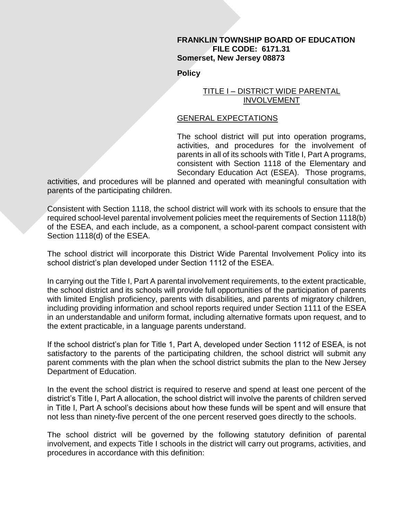#### **FRANKLIN TOWNSHIP BOARD OF EDUCATION FILE CODE: 6171.31 Somerset, New Jersey 08873**

**Policy**

## TITLE I – DISTRICT WIDE PARENTAL INVOLVEMENT

# GENERAL EXPECTATIONS

The school district will put into operation programs, activities, and procedures for the involvement of parents in all of its schools with Title I, Part A programs, consistent with Section 1118 of the Elementary and Secondary Education Act (ESEA). Those programs,

activities, and procedures will be planned and operated with meaningful consultation with parents of the participating children.

Consistent with Section 1118, the school district will work with its schools to ensure that the required school-level parental involvement policies meet the requirements of Section 1118(b) of the ESEA, and each include, as a component, a school-parent compact consistent with Section 1118(d) of the ESEA.

The school district will incorporate this District Wide Parental Involvement Policy into its school district's plan developed under Section 1112 of the ESEA.

In carrying out the Title I, Part A parental involvement requirements, to the extent practicable, the school district and its schools will provide full opportunities of the participation of parents with limited English proficiency, parents with disabilities, and parents of migratory children, including providing information and school reports required under Section 1111 of the ESEA in an understandable and uniform format, including alternative formats upon request, and to the extent practicable, in a language parents understand.

If the school district's plan for Title 1, Part A, developed under Section 1112 of ESEA, is not satisfactory to the parents of the participating children, the school district will submit any parent comments with the plan when the school district submits the plan to the New Jersey Department of Education.

In the event the school district is required to reserve and spend at least one percent of the district's Title I, Part A allocation, the school district will involve the parents of children served in Title I, Part A school's decisions about how these funds will be spent and will ensure that not less than ninety-five percent of the one percent reserved goes directly to the schools.

The school district will be governed by the following statutory definition of parental involvement, and expects Title I schools in the district will carry out programs, activities, and procedures in accordance with this definition: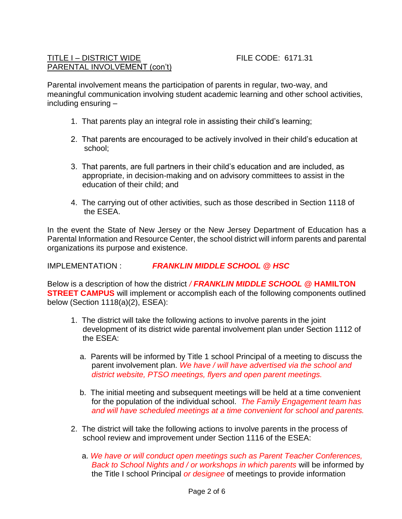## TITLE I – DISTRICT WIDE FILE CODE: 6171.31 PARENTAL INVOLVEMENT (con't)

Parental involvement means the participation of parents in regular, two-way, and meaningful communication involving student academic learning and other school activities, including ensuring –

- 1. That parents play an integral role in assisting their child's learning;
- 2. That parents are encouraged to be actively involved in their child's education at school;
- 3. That parents, are full partners in their child's education and are included, as appropriate, in decision-making and on advisory committees to assist in the education of their child; and
- 4. The carrying out of other activities, such as those described in Section 1118 of the ESEA.

In the event the State of New Jersey or the New Jersey Department of Education has a Parental Information and Resource Center, the school district will inform parents and parental organizations its purpose and existence.

IMPLEMENTATION : *FRANKLIN MIDDLE SCHOOL @ HSC*

Below is a description of how the district */ FRANKLIN MIDDLE SCHOOL* **@ HAMILTON STREET CAMPUS** will implement or accomplish each of the following components outlined below (Section 1118(a)(2), ESEA):

- 1. The district will take the following actions to involve parents in the joint development of its district wide parental involvement plan under Section 1112 of the ESEA:
	- a. Parents will be informed by Title 1 school Principal of a meeting to discuss the parent involvement plan. *We have / will have advertised via the school and district website, PTSO meetings, flyers and open parent meetings.*
	- b. The initial meeting and subsequent meetings will be held at a time convenient for the population of the individual school. *The Family Engagement team has and will have scheduled meetings at a time convenient for school and parents.*
- 2. The district will take the following actions to involve parents in the process of school review and improvement under Section 1116 of the ESEA:
	- a. *We have or will conduct open meetings such as Parent Teacher Conferences, Back to School Nights and / or workshops in which parents* will be informed by the Title I school Principal *or designee* of meetings to provide information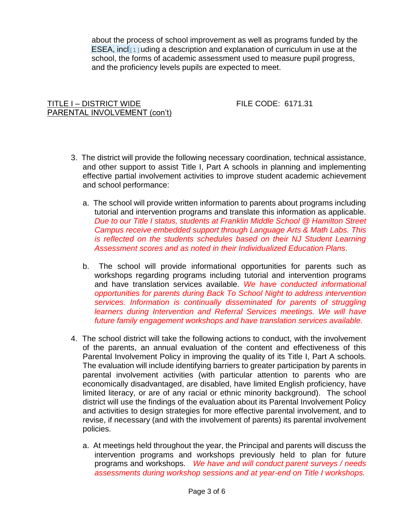about the process of school improvement as well as programs funded by the ESEA, incl[1] uding a description and explanation of curriculum in use at the school, the forms of academic assessment used to measure pupil progress, and the proficiency levels pupils are expected to meet.

# TITLE I – DISTRICT WIDE FILE CODE: 6171.31 PARENTAL INVOLVEMENT (con't)

- 3. The district will provide the following necessary coordination, technical assistance, and other support to assist Title I, Part A schools in planning and implementing effective partial involvement activities to improve student academic achievement and school performance:
	- a. The school will provide written information to parents about programs including tutorial and intervention programs and translate this information as applicable. *Due to our Title I status, students at Franklin Middle School @ Hamilton Street Campus receive embedded support through Language Arts & Math Labs. This is reflected on the students schedules based on their NJ Student Learning Assessment scores and as noted in their Individualized Education Plans.*
	- b. The school will provide informational opportunities for parents such as workshops regarding programs including tutorial and intervention programs and have translation services available. *We have conducted informational opportunities for parents during Back To School Night to address intervention services. Information is continually disseminated for parents of struggling learners during Intervention and Referral Services meetings. We will have future family engagement workshops and have translation services available.*
- 4. The school district will take the following actions to conduct, with the involvement of the parents, an annual evaluation of the content and effectiveness of this Parental Involvement Policy in improving the quality of its Title I, Part A schools. The evaluation will include identifying barriers to greater participation by parents in parental involvement activities (with particular attention to parents who are economically disadvantaged, are disabled, have limited English proficiency, have limited literacy, or are of any racial or ethnic minority background). The school district will use the findings of the evaluation about its Parental Involvement Policy and activities to design strategies for more effective parental involvement, and to revise, if necessary (and with the involvement of parents) its parental involvement policies.
	- a. At meetings held throughout the year, the Principal and parents will discuss the intervention programs and workshops previously held to plan for future programs and workshops. *We have and will conduct parent surveys / needs assessments during workshop sessions and at year-end on Title I workshops.*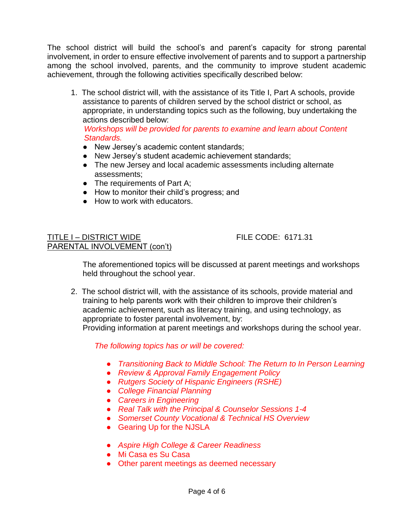The school district will build the school's and parent's capacity for strong parental involvement, in order to ensure effective involvement of parents and to support a partnership among the school involved, parents, and the community to improve student academic achievement, through the following activities specifically described below:

1. The school district will, with the assistance of its Title I, Part A schools, provide assistance to parents of children served by the school district or school, as appropriate, in understanding topics such as the following, buy undertaking the actions described below:

 *Workshops will be provided for parents to examine and learn about Content Standards.*

- New Jersey's academic content standards;
- New Jersey's student academic achievement standards;
- The new Jersey and local academic assessments including alternate assessments;
- The requirements of Part A;
- How to monitor their child's progress; and
- How to work with educators.

## TITLE I – DISTRICT WIDE FILE CODE: 6171.31 PARENTAL INVOLVEMENT (con't)

The aforementioned topics will be discussed at parent meetings and workshops held throughout the school year.

2. The school district will, with the assistance of its schools, provide material and training to help parents work with their children to improve their children's academic achievement, such as literacy training, and using technology, as appropriate to foster parental involvement, by: Providing information at parent meetings and workshops during the school year.

*The following topics has or will be covered:*

- *Transitioning Back to Middle School: The Return to In Person Learning*
- *Review & Approval Family Engagement Policy*
- *Rutgers Society of Hispanic Engineers (RSHE)*
- *College Financial Planning*
- *Careers in Engineering*
- *Real Talk with the Principal & Counselor Sessions 1-4*
- *Somerset County Vocational & Technical HS Overview*
- Gearing Up for the NJSLA
- *Aspire High College & Career Readiness*
- Mi Casa es Su Casa
- Other parent meetings as deemed necessary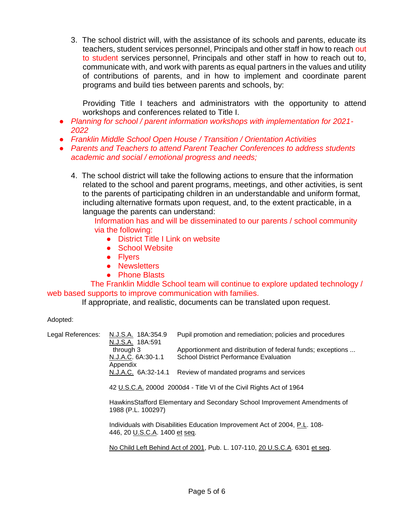3. The school district will, with the assistance of its schools and parents, educate its teachers, student services personnel, Principals and other staff in how to reach out to student services personnel, Principals and other staff in how to reach out to, communicate with, and work with parents as equal partners in the values and utility of contributions of parents, and in how to implement and coordinate parent programs and build ties between parents and schools, by:

Providing Title I teachers and administrators with the opportunity to attend workshops and conferences related to Title I.

- *Planning for school / parent information workshops with implementation for 2021- 2022*
- *Franklin Middle School Open House / Transition / Orientation Activities*
- *Parents and Teachers to attend Parent Teacher Conferences to address students academic and social / emotional progress and needs;*
	- 4. The school district will take the following actions to ensure that the information related to the school and parent programs, meetings, and other activities, is sent to the parents of participating children in an understandable and uniform format, including alternative formats upon request, and, to the extent practicable, in a language the parents can understand:

Information has and will be disseminated to our parents / school community via the following:

- District Title I Link on website
- School Website
- Flyers
- Newsletters
- Phone Blasts

 The Franklin Middle School team will continue to explore updated technology / web based supports to improve communication with families.

If appropriate, and realistic, documents can be translated upon request.

#### Adopted:

| Legal References: | N.J.S.A. 18A:354.9<br>N.J.S.A. 18A:591                                                                      | Pupil promotion and remediation; policies and procedures                                                     |  |
|-------------------|-------------------------------------------------------------------------------------------------------------|--------------------------------------------------------------------------------------------------------------|--|
|                   | through 3<br>N.J.A.C. 6A:30-1.1                                                                             | Apportionment and distribution of federal funds; exceptions<br><b>School District Performance Evaluation</b> |  |
|                   | Appendix<br>N.J.A.C. 6A:32-14.1                                                                             | Review of mandated programs and services                                                                     |  |
|                   | 42 U.S.C.A. 2000d 2000d4 - Title VI of the Civil Rights Act of 1964                                         |                                                                                                              |  |
|                   | HawkinsStafford Elementary and Secondary School Improvement Amendments of<br>1988 (P.L. 100297)             |                                                                                                              |  |
|                   | Individuals with Disabilities Education Improvement Act of 2004, P.L. 108-<br>446, 20 U.S.C.A. 1400 et seq. |                                                                                                              |  |
|                   | No Child Left Behind Act of 2001, Pub. L. 107-110, 20 U.S.C.A. 6301 et seq.                                 |                                                                                                              |  |